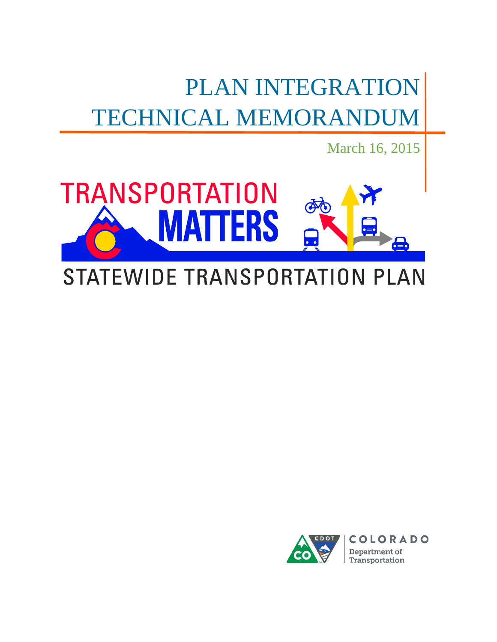# PLAN INTEGRATION TECHNICAL MEMORANDUM

March 16, 2015



## STATEWIDE TRANSPORTATION PLAN

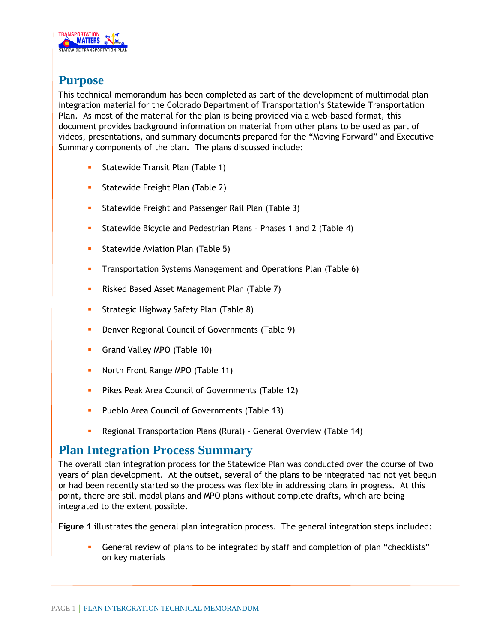

### **Purpose**

This technical memorandum has been completed as part of the development of multimodal plan integration material for the Colorado Department of Transportation's Statewide Transportation Plan. As most of the material for the plan is being provided via a web-based format, this document provides background information on material from other plans to be used as part of videos, presentations, and summary documents prepared for the "Moving Forward" and Executive Summary components of the plan. The plans discussed include:

- **Statewide Transit Plan (Table 1)**
- **Statewide Freight Plan (Table 2)**
- **Statewide Freight and Passenger Rail Plan (Table 3)**
- Statewide Bicycle and Pedestrian Plans Phases 1 and 2 (Table 4)
- **Statewide Aviation Plan (Table 5)**
- **Transportation Systems Management and Operations Plan (Table 6)**
- **Risked Based Asset Management Plan (Table 7)**
- **Strategic Highway Safety Plan (Table 8)**
- **-** Denver Regional Council of Governments (Table 9)
- **Grand Valley MPO (Table 10)**
- North Front Range MPO (Table 11)
- **Pikes Peak Area Council of Governments (Table 12)**
- **Pueblo Area Council of Governments (Table 13)**
- Regional Transportation Plans (Rural) General Overview (Table 14)

### **Plan Integration Process Summary**

The overall plan integration process for the Statewide Plan was conducted over the course of two years of plan development. At the outset, several of the plans to be integrated had not yet begun or had been recently started so the process was flexible in addressing plans in progress. At this point, there are still modal plans and MPO plans without complete drafts, which are being integrated to the extent possible.

**Figure 1** illustrates the general plan integration process. The general integration steps included:

 General review of plans to be integrated by staff and completion of plan "checklists" on key materials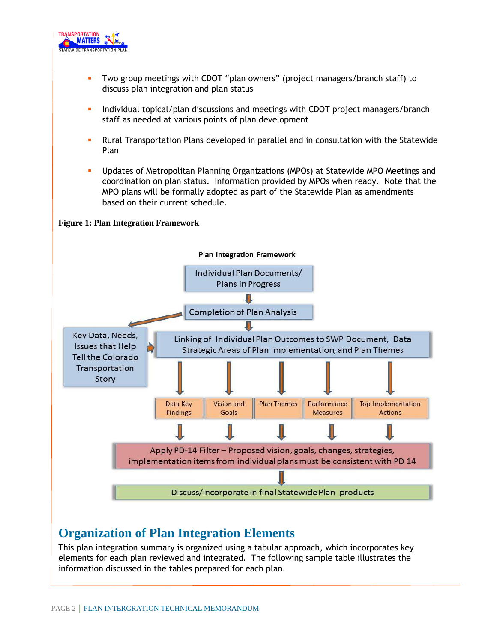

- Two group meetings with CDOT "plan owners" (project managers/branch staff) to discuss plan integration and plan status
- Individual topical/plan discussions and meetings with CDOT project managers/branch staff as needed at various points of plan development
- Rural Transportation Plans developed in parallel and in consultation with the Statewide Plan
- Updates of Metropolitan Planning Organizations (MPOs) at Statewide MPO Meetings and coordination on plan status. Information provided by MPOs when ready. Note that the MPO plans will be formally adopted as part of the Statewide Plan as amendments based on their current schedule.

**Figure 1: Plan Integration Framework**



### **Organization of Plan Integration Elements**

This plan integration summary is organized using a tabular approach, which incorporates key elements for each plan reviewed and integrated. The following sample table illustrates the information discussed in the tables prepared for each plan.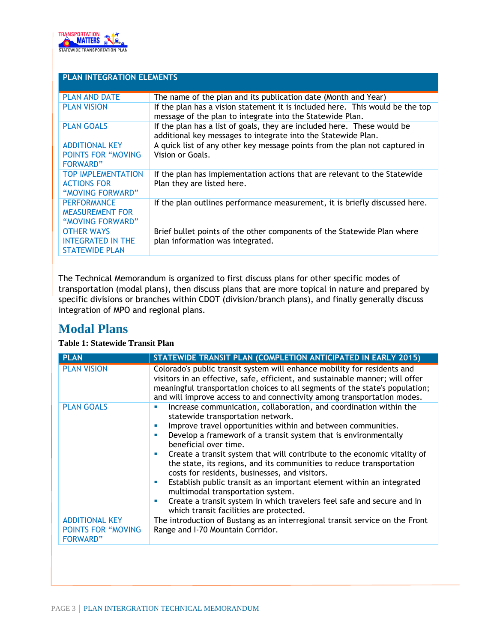

| <b>PLAN INTEGRATION ELEMENTS</b>                                       |                                                                                                                                            |
|------------------------------------------------------------------------|--------------------------------------------------------------------------------------------------------------------------------------------|
| <b>PLAN AND DATE</b>                                                   | The name of the plan and its publication date (Month and Year)                                                                             |
| <b>PLAN VISION</b>                                                     | If the plan has a vision statement it is included here. This would be the top<br>message of the plan to integrate into the Statewide Plan. |
| <b>PLAN GOALS</b>                                                      | If the plan has a list of goals, they are included here. These would be<br>additional key messages to integrate into the Statewide Plan.   |
| <b>ADDITIONAL KEY</b><br><b>POINTS FOR "MOVING</b><br><b>FORWARD"</b>  | A quick list of any other key message points from the plan not captured in<br>Vision or Goals.                                             |
| <b>TOP IMPLEMENTATION</b><br><b>ACTIONS FOR</b><br>"MOVING FORWARD"    | If the plan has implementation actions that are relevant to the Statewide<br>Plan they are listed here.                                    |
| <b>PERFORMANCE</b><br><b>MEASUREMENT FOR</b><br>"MOVING FORWARD"       | If the plan outlines performance measurement, it is briefly discussed here.                                                                |
| <b>OTHER WAYS</b><br><b>INTEGRATED IN THE</b><br><b>STATEWIDE PLAN</b> | Brief bullet points of the other components of the Statewide Plan where<br>plan information was integrated.                                |

The Technical Memorandum is organized to first discuss plans for other specific modes of transportation (modal plans), then discuss plans that are more topical in nature and prepared by specific divisions or branches within CDOT (division/branch plans), and finally generally discuss integration of MPO and regional plans.

### **Modal Plans**

#### **Table 1: Statewide Transit Plan**

| <b>PLAN</b>                                                           | STATEWIDE TRANSIT PLAN (COMPLETION ANTICIPATED IN EARLY 2015)                                                                                                                                                                                                                                                                                                                                                                                                                                                                                                                                                                                                                                                                                       |
|-----------------------------------------------------------------------|-----------------------------------------------------------------------------------------------------------------------------------------------------------------------------------------------------------------------------------------------------------------------------------------------------------------------------------------------------------------------------------------------------------------------------------------------------------------------------------------------------------------------------------------------------------------------------------------------------------------------------------------------------------------------------------------------------------------------------------------------------|
| <b>PLAN VISION</b>                                                    | Colorado's public transit system will enhance mobility for residents and<br>visitors in an effective, safe, efficient, and sustainable manner; will offer<br>meaningful transportation choices to all segments of the state's population;<br>and will improve access to and connectivity among transportation modes.                                                                                                                                                                                                                                                                                                                                                                                                                                |
| <b>PLAN GOALS</b>                                                     | Increase communication, collaboration, and coordination within the<br>п<br>statewide transportation network.<br>Improve travel opportunities within and between communities.<br><b>COL</b><br>Develop a framework of a transit system that is environmentally<br>п<br>beneficial over time.<br>Create a transit system that will contribute to the economic vitality of<br>ш<br>the state, its regions, and its communities to reduce transportation<br>costs for residents, businesses, and visitors.<br>Establish public transit as an important element within an integrated<br>ш<br>multimodal transportation system.<br>Create a transit system in which travelers feel safe and secure and in<br>×<br>which transit facilities are protected. |
| <b>ADDITIONAL KEY</b><br><b>POINTS FOR "MOVING</b><br><b>FORWARD"</b> | The introduction of Bustang as an interregional transit service on the Front<br>Range and I-70 Mountain Corridor.                                                                                                                                                                                                                                                                                                                                                                                                                                                                                                                                                                                                                                   |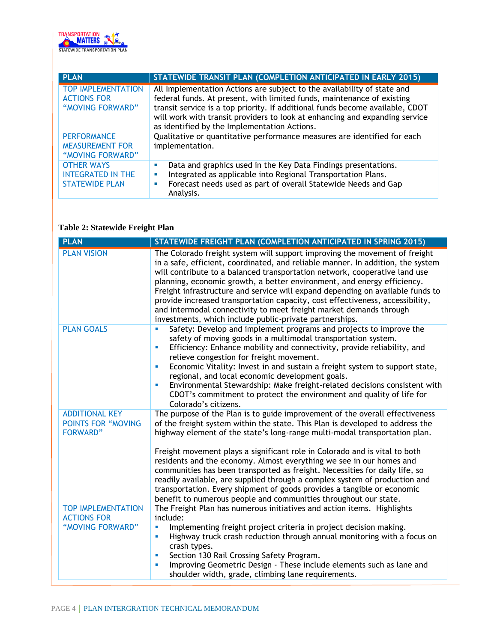

| <b>PLAN</b>                                                            | STATEWIDE TRANSIT PLAN (COMPLETION ANTICIPATED IN EARLY 2015)                                                                                                                                                                                                                                                                                                     |
|------------------------------------------------------------------------|-------------------------------------------------------------------------------------------------------------------------------------------------------------------------------------------------------------------------------------------------------------------------------------------------------------------------------------------------------------------|
| <b>TOP IMPLEMENTATION</b><br><b>ACTIONS FOR</b><br>"MOVING FORWARD"    | All Implementation Actions are subject to the availability of state and<br>federal funds. At present, with limited funds, maintenance of existing<br>transit service is a top priority. If additional funds become available, CDOT<br>will work with transit providers to look at enhancing and expanding service<br>as identified by the Implementation Actions. |
| <b>PERFORMANCE</b><br><b>MEASUREMENT FOR</b><br>"MOVING FORWARD"       | Qualitative or quantitative performance measures are identified for each<br>implementation.                                                                                                                                                                                                                                                                       |
| <b>OTHER WAYS</b><br><b>INTEGRATED IN THE</b><br><b>STATEWIDE PLAN</b> | Data and graphics used in the Key Data Findings presentations.<br>ш<br>Integrated as applicable into Regional Transportation Plans.<br>u,<br>Forecast needs used as part of overall Statewide Needs and Gap<br>u,<br>Analysis.                                                                                                                                    |

#### **Table 2: Statewide Freight Plan**

| <b>PLAN</b>                                                           | STATEWIDE FREIGHT PLAN (COMPLETION ANTICIPATED IN SPRING 2015)                                                                                                                                                                                                                                                                                                                                                                                                                                                                                                                                                                                                                                                |
|-----------------------------------------------------------------------|---------------------------------------------------------------------------------------------------------------------------------------------------------------------------------------------------------------------------------------------------------------------------------------------------------------------------------------------------------------------------------------------------------------------------------------------------------------------------------------------------------------------------------------------------------------------------------------------------------------------------------------------------------------------------------------------------------------|
| <b>PLAN VISION</b>                                                    | The Colorado freight system will support improving the movement of freight<br>in a safe, efficient, coordinated, and reliable manner. In addition, the system<br>will contribute to a balanced transportation network, cooperative land use<br>planning, economic growth, a better environment, and energy efficiency.<br>Freight infrastructure and service will expand depending on available funds to<br>provide increased transportation capacity, cost effectiveness, accessibility,<br>and intermodal connectivity to meet freight market demands through<br>investments, which include public-private partnerships.                                                                                    |
| <b>PLAN GOALS</b>                                                     | Safety: Develop and implement programs and projects to improve the<br>Ű.<br>safety of moving goods in a multimodal transportation system.<br>Efficiency: Enhance mobility and connectivity, provide reliability, and<br>a,<br>relieve congestion for freight movement.<br>Economic Vitality: Invest in and sustain a freight system to support state,<br>u,<br>regional, and local economic development goals.<br>Environmental Stewardship: Make freight-related decisions consistent with<br>L.<br>CDOT's commitment to protect the environment and quality of life for<br>Colorado's citizens.                                                                                                             |
| <b>ADDITIONAL KEY</b><br><b>POINTS FOR "MOVING</b><br><b>FORWARD"</b> | The purpose of the Plan is to guide improvement of the overall effectiveness<br>of the freight system within the state. This Plan is developed to address the<br>highway element of the state's long-range multi-modal transportation plan.<br>Freight movement plays a significant role in Colorado and is vital to both<br>residents and the economy. Almost everything we see in our homes and<br>communities has been transported as freight. Necessities for daily life, so<br>readily available, are supplied through a complex system of production and<br>transportation. Every shipment of goods provides a tangible or economic<br>benefit to numerous people and communities throughout our state. |
| <b>TOP IMPLEMENTATION</b><br><b>ACTIONS FOR</b><br>"MOVING FORWARD"   | The Freight Plan has numerous initiatives and action items. Highlights<br>include:<br>Implementing freight project criteria in project decision making.<br>a,<br>Highway truck crash reduction through annual monitoring with a focus on<br>ш<br>crash types.<br>Section 130 Rail Crossing Safety Program.<br>ш<br>Improving Geometric Design - These include elements such as lane and<br>ш<br>shoulder width, grade, climbing lane requirements.                                                                                                                                                                                                                                                            |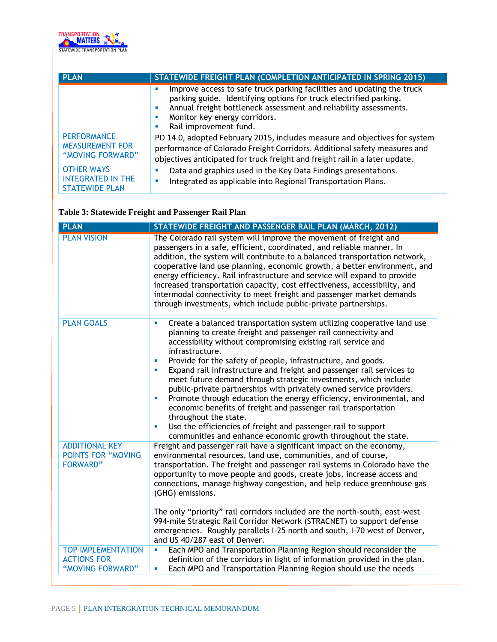

| <b>PLAN</b>                                                            | STATEWIDE FREIGHT PLAN (COMPLETION ANTICIPATED IN SPRING 2015)                                                                                                                                                                                                                                                                   |
|------------------------------------------------------------------------|----------------------------------------------------------------------------------------------------------------------------------------------------------------------------------------------------------------------------------------------------------------------------------------------------------------------------------|
|                                                                        | Improve access to safe truck parking facilities and updating the truck<br><b>CONTRACTOR</b><br>parking guide. Identifying options for truck electrified parking.<br>Annual freight bottleneck assessment and reliability assessments.<br>×<br>Monitor key energy corridors.<br><b>CONTRACTOR</b><br>Rail improvement fund.<br>m. |
| <b>PERFORMANCE</b><br><b>MEASUREMENT FOR</b><br>"MOVING FORWARD"       | PD 14.0, adopted February 2015, includes measure and objectives for system<br>performance of Colorado Freight Corridors. Additional safety measures and<br>objectives anticipated for truck freight and freight rail in a later update.                                                                                          |
| <b>OTHER WAYS</b><br><b>INTEGRATED IN THE</b><br><b>STATEWIDE PLAN</b> | Data and graphics used in the Key Data Findings presentations.<br>×.<br>Integrated as applicable into Regional Transportation Plans.<br>п                                                                                                                                                                                        |

### **Table 3: Statewide Freight and Passenger Rail Plan**

| STATEWIDE FREIGHT AND PASSENGER RAIL PLAN (MARCH, 2012)                                                                                                                                                                                                                                                                                                                                                                                                                                                                                                                                                                                                                                                                                                                                                                                       |
|-----------------------------------------------------------------------------------------------------------------------------------------------------------------------------------------------------------------------------------------------------------------------------------------------------------------------------------------------------------------------------------------------------------------------------------------------------------------------------------------------------------------------------------------------------------------------------------------------------------------------------------------------------------------------------------------------------------------------------------------------------------------------------------------------------------------------------------------------|
| The Colorado rail system will improve the movement of freight and<br>passengers in a safe, efficient, coordinated, and reliable manner. In<br>addition, the system will contribute to a balanced transportation network,<br>cooperative land use planning, economic growth, a better environment, and<br>energy efficiency. Rail infrastructure and service will expand to provide<br>increased transportation capacity, cost effectiveness, accessibility, and<br>intermodal connectivity to meet freight and passenger market demands<br>through investments, which include public-private partnerships.                                                                                                                                                                                                                                    |
| Create a balanced transportation system utilizing cooperative land use<br>×<br>planning to create freight and passenger rail connectivity and<br>accessibility without compromising existing rail service and<br>infrastructure.<br>Provide for the safety of people, infrastructure, and goods.<br>×<br>Expand rail infrastructure and freight and passenger rail services to<br>u.<br>meet future demand through strategic investments, which include<br>public-private partnerships with privately owned service providers.<br>Promote through education the energy efficiency, environmental, and<br>u.<br>economic benefits of freight and passenger rail transportation<br>throughout the state.<br>Use the efficiencies of freight and passenger rail to support<br>×<br>communities and enhance economic growth throughout the state. |
| Freight and passenger rail have a significant impact on the economy,<br>environmental resources, land use, communities, and of course,<br>transportation. The freight and passenger rail systems in Colorado have the<br>opportunity to move people and goods, create jobs, increase access and<br>connections, manage highway congestion, and help reduce greenhouse gas<br>(GHG) emissions.<br>The only "priority" rail corridors included are the north-south, east-west<br>994-mile Strategic Rail Corridor Network (STRACNET) to support defense<br>emergencies. Roughly parallels I-25 north and south, I-70 west of Denver,<br>and US 40/287 east of Denver.                                                                                                                                                                           |
| Each MPO and Transportation Planning Region should reconsider the<br>L.                                                                                                                                                                                                                                                                                                                                                                                                                                                                                                                                                                                                                                                                                                                                                                       |
| definition of the corridors in light of information provided in the plan.<br>Each MPO and Transportation Planning Region should use the needs<br>u.                                                                                                                                                                                                                                                                                                                                                                                                                                                                                                                                                                                                                                                                                           |
|                                                                                                                                                                                                                                                                                                                                                                                                                                                                                                                                                                                                                                                                                                                                                                                                                                               |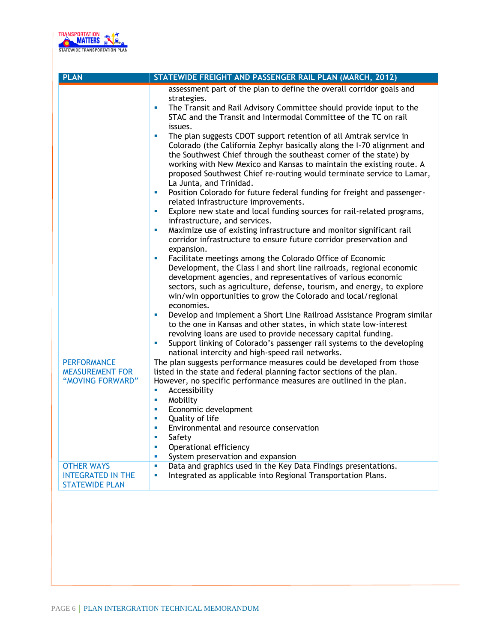

| <b>PLAN</b>                                                                           | STATEWIDE FREIGHT AND PASSENGER RAIL PLAN (MARCH, 2012)                                                                                                                                                                                                                                                                                                                                                                                                                                                                                                                                                                                                                                                                                                                                                                                                                                                                                                                                                                                                                                                                                                                                                                                                                                                                                                                                                                                                                                                                                                                                                                                                                                                                                     |
|---------------------------------------------------------------------------------------|---------------------------------------------------------------------------------------------------------------------------------------------------------------------------------------------------------------------------------------------------------------------------------------------------------------------------------------------------------------------------------------------------------------------------------------------------------------------------------------------------------------------------------------------------------------------------------------------------------------------------------------------------------------------------------------------------------------------------------------------------------------------------------------------------------------------------------------------------------------------------------------------------------------------------------------------------------------------------------------------------------------------------------------------------------------------------------------------------------------------------------------------------------------------------------------------------------------------------------------------------------------------------------------------------------------------------------------------------------------------------------------------------------------------------------------------------------------------------------------------------------------------------------------------------------------------------------------------------------------------------------------------------------------------------------------------------------------------------------------------|
|                                                                                       | assessment part of the plan to define the overall corridor goals and<br>strategies.<br>The Transit and Rail Advisory Committee should provide input to the<br>Ű.<br>STAC and the Transit and Intermodal Committee of the TC on rail<br>issues.<br>ù.<br>The plan suggests CDOT support retention of all Amtrak service in<br>Colorado (the California Zephyr basically along the I-70 alignment and<br>the Southwest Chief through the southeast corner of the state) by<br>working with New Mexico and Kansas to maintain the existing route. A<br>proposed Southwest Chief re-routing would terminate service to Lamar,<br>La Junta, and Trinidad.<br>Position Colorado for future federal funding for freight and passenger-<br>ш<br>related infrastructure improvements.<br>Explore new state and local funding sources for rail-related programs,<br>ш<br>infrastructure, and services.<br>Maximize use of existing infrastructure and monitor significant rail<br>L.<br>corridor infrastructure to ensure future corridor preservation and<br>expansion.<br>Facilitate meetings among the Colorado Office of Economic<br>L.<br>Development, the Class I and short line railroads, regional economic<br>development agencies, and representatives of various economic<br>sectors, such as agriculture, defense, tourism, and energy, to explore<br>win/win opportunities to grow the Colorado and local/regional<br>economies.<br>Develop and implement a Short Line Railroad Assistance Program similar<br>a,<br>to the one in Kansas and other states, in which state low-interest<br>revolving loans are used to provide necessary capital funding.<br>Support linking of Colorado's passenger rail systems to the developing<br>u, |
| <b>PERFORMANCE</b><br><b>MEASUREMENT FOR</b><br>"MOVING FORWARD"<br><b>OTHER WAYS</b> | national intercity and high-speed rail networks.<br>The plan suggests performance measures could be developed from those<br>listed in the state and federal planning factor sections of the plan.<br>However, no specific performance measures are outlined in the plan.<br>Accessibility<br>a,<br>Mobility<br>ù.<br>Economic development<br>ш<br>Quality of life<br>u,<br>Environmental and resource conservation<br>a,<br>Safety<br>ш<br>Operational efficiency<br>ш<br>System preservation and expansion<br>a,<br>Data and graphics used in the Key Data Findings presentations.<br>$\mathbf{r}$                                                                                                                                                                                                                                                                                                                                                                                                                                                                                                                                                                                                                                                                                                                                                                                                                                                                                                                                                                                                                                                                                                                                         |
| <b>INTEGRATED IN THE</b><br><b>STATEWIDE PLAN</b>                                     | Integrated as applicable into Regional Transportation Plans.<br>a,                                                                                                                                                                                                                                                                                                                                                                                                                                                                                                                                                                                                                                                                                                                                                                                                                                                                                                                                                                                                                                                                                                                                                                                                                                                                                                                                                                                                                                                                                                                                                                                                                                                                          |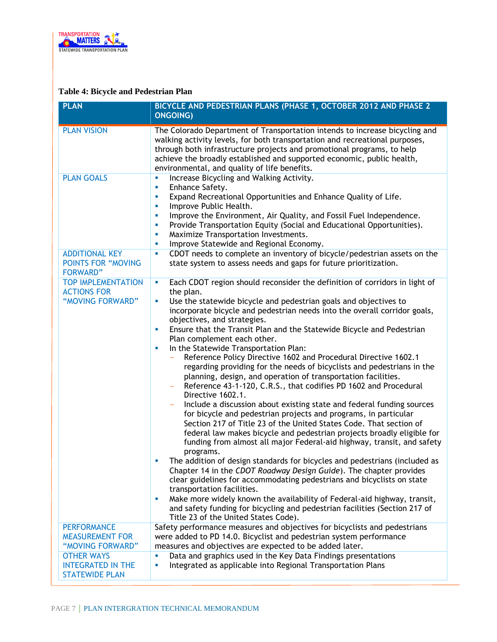

### **Table 4: Bicycle and Pedestrian Plan**

| <b>PLAN</b>                                                           | BICYCLE AND PEDESTRIAN PLANS (PHASE 1, OCTOBER 2012 AND PHASE 2<br><b>ONGOING)</b>                                                                                                                                                                                                                                                                                                                                                                                                                                                                                                                                                                                                                                                                                                                                                                                                                                                                                                                                                                                                                                                                                                                                                                                                                                                                                                                                                                                                                                                                                                                                            |
|-----------------------------------------------------------------------|-------------------------------------------------------------------------------------------------------------------------------------------------------------------------------------------------------------------------------------------------------------------------------------------------------------------------------------------------------------------------------------------------------------------------------------------------------------------------------------------------------------------------------------------------------------------------------------------------------------------------------------------------------------------------------------------------------------------------------------------------------------------------------------------------------------------------------------------------------------------------------------------------------------------------------------------------------------------------------------------------------------------------------------------------------------------------------------------------------------------------------------------------------------------------------------------------------------------------------------------------------------------------------------------------------------------------------------------------------------------------------------------------------------------------------------------------------------------------------------------------------------------------------------------------------------------------------------------------------------------------------|
| <b>PLAN VISION</b>                                                    | The Colorado Department of Transportation intends to increase bicycling and<br>walking activity levels, for both transportation and recreational purposes,<br>through both infrastructure projects and promotional programs, to help<br>achieve the broadly established and supported economic, public health,<br>environmental, and quality of life benefits.                                                                                                                                                                                                                                                                                                                                                                                                                                                                                                                                                                                                                                                                                                                                                                                                                                                                                                                                                                                                                                                                                                                                                                                                                                                                |
| <b>PLAN GOALS</b>                                                     | Increase Bicycling and Walking Activity.<br>u,<br>Enhance Safety.<br>u,<br>Expand Recreational Opportunities and Enhance Quality of Life.<br>ш<br>Improve Public Health.<br>u.<br>Improve the Environment, Air Quality, and Fossil Fuel Independence.<br>u.<br>Provide Transportation Equity (Social and Educational Opportunities).<br>u,<br>Maximize Transportation Investments.<br>ш<br>Improve Statewide and Regional Economy.<br>ш                                                                                                                                                                                                                                                                                                                                                                                                                                                                                                                                                                                                                                                                                                                                                                                                                                                                                                                                                                                                                                                                                                                                                                                       |
| <b>ADDITIONAL KEY</b><br><b>POINTS FOR "MOVING</b><br><b>FORWARD"</b> | CDOT needs to complete an inventory of bicycle/pedestrian assets on the<br>ш<br>state system to assess needs and gaps for future prioritization.                                                                                                                                                                                                                                                                                                                                                                                                                                                                                                                                                                                                                                                                                                                                                                                                                                                                                                                                                                                                                                                                                                                                                                                                                                                                                                                                                                                                                                                                              |
| <b>TOP IMPLEMENTATION</b><br><b>ACTIONS FOR</b><br>"MOVING FORWARD"   | Each CDOT region should reconsider the definition of corridors in light of<br>u,<br>the plan.<br>Use the statewide bicycle and pedestrian goals and objectives to<br>$\blacksquare$<br>incorporate bicycle and pedestrian needs into the overall corridor goals,<br>objectives, and strategies.<br>Ensure that the Transit Plan and the Statewide Bicycle and Pedestrian<br>ш<br>Plan complement each other.<br>In the Statewide Transportation Plan:<br>ш<br>Reference Policy Directive 1602 and Procedural Directive 1602.1<br>regarding providing for the needs of bicyclists and pedestrians in the<br>planning, design, and operation of transportation facilities.<br>Reference 43-1-120, C.R.S., that codifies PD 1602 and Procedural<br>Directive 1602.1.<br>Include a discussion about existing state and federal funding sources<br>for bicycle and pedestrian projects and programs, in particular<br>Section 217 of Title 23 of the United States Code. That section of<br>federal law makes bicycle and pedestrian projects broadly eligible for<br>funding from almost all major Federal-aid highway, transit, and safety<br>programs.<br>The addition of design standards for bicycles and pedestrians (included as<br>×<br>Chapter 14 in the CDOT Roadway Design Guide). The chapter provides<br>clear guidelines for accommodating pedestrians and bicyclists on state<br>transportation facilities.<br>Make more widely known the availability of Federal-aid highway, transit,<br>u,<br>and safety funding for bicycling and pedestrian facilities (Section 217 of<br>Title 23 of the United States Code). |
| <b>PERFORMANCE</b><br><b>MEASUREMENT FOR</b>                          | Safety performance measures and objectives for bicyclists and pedestrians<br>were added to PD 14.0. Bicyclist and pedestrian system performance                                                                                                                                                                                                                                                                                                                                                                                                                                                                                                                                                                                                                                                                                                                                                                                                                                                                                                                                                                                                                                                                                                                                                                                                                                                                                                                                                                                                                                                                               |
| "MOVING FORWARD"<br><b>OTHER WAYS</b>                                 | measures and objectives are expected to be added later.                                                                                                                                                                                                                                                                                                                                                                                                                                                                                                                                                                                                                                                                                                                                                                                                                                                                                                                                                                                                                                                                                                                                                                                                                                                                                                                                                                                                                                                                                                                                                                       |
| <b>INTEGRATED IN THE</b><br><b>STATEWIDE PLAN</b>                     | Data and graphics used in the Key Data Findings presentations<br>ш<br>Integrated as applicable into Regional Transportation Plans<br>u,                                                                                                                                                                                                                                                                                                                                                                                                                                                                                                                                                                                                                                                                                                                                                                                                                                                                                                                                                                                                                                                                                                                                                                                                                                                                                                                                                                                                                                                                                       |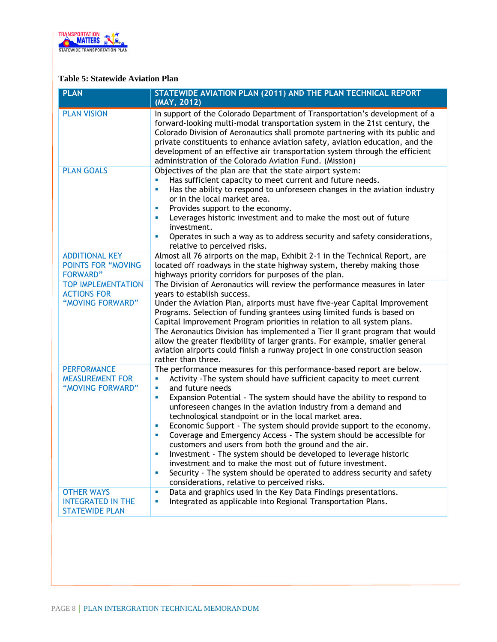

#### **Table 5: Statewide Aviation Plan**

| <b>PLAN</b>                                                            | STATEWIDE AVIATION PLAN (2011) AND THE PLAN TECHNICAL REPORT<br>(MAY, 2012)                                                                                                                                                                                                                                                                                                                                                                                                                                                                                                                                                                                                                                                                                                                                                                                                         |
|------------------------------------------------------------------------|-------------------------------------------------------------------------------------------------------------------------------------------------------------------------------------------------------------------------------------------------------------------------------------------------------------------------------------------------------------------------------------------------------------------------------------------------------------------------------------------------------------------------------------------------------------------------------------------------------------------------------------------------------------------------------------------------------------------------------------------------------------------------------------------------------------------------------------------------------------------------------------|
| <b>PLAN VISION</b>                                                     | In support of the Colorado Department of Transportation's development of a<br>forward-looking multi-modal transportation system in the 21st century, the<br>Colorado Division of Aeronautics shall promote partnering with its public and<br>private constituents to enhance aviation safety, aviation education, and the<br>development of an effective air transportation system through the efficient<br>administration of the Colorado Aviation Fund. (Mission)                                                                                                                                                                                                                                                                                                                                                                                                                 |
| <b>PLAN GOALS</b>                                                      | Objectives of the plan are that the state airport system:<br>Has sufficient capacity to meet current and future needs.<br>Has the ability to respond to unforeseen changes in the aviation industry<br>L.<br>or in the local market area.<br>Provides support to the economy.<br>×<br>Leverages historic investment and to make the most out of future<br>ш<br>investment.<br>Operates in such a way as to address security and safety considerations,<br>u,<br>relative to perceived risks.                                                                                                                                                                                                                                                                                                                                                                                        |
| <b>ADDITIONAL KEY</b><br>POINTS FOR "MOVING<br><b>FORWARD"</b>         | Almost all 76 airports on the map, Exhibit 2-1 in the Technical Report, are<br>located off roadways in the state highway system, thereby making those<br>highways priority corridors for purposes of the plan.                                                                                                                                                                                                                                                                                                                                                                                                                                                                                                                                                                                                                                                                      |
| <b>TOP IMPLEMENTATION</b><br><b>ACTIONS FOR</b><br>"MOVING FORWARD"    | The Division of Aeronautics will review the performance measures in later<br>years to establish success.<br>Under the Aviation Plan, airports must have five-year Capital Improvement<br>Programs. Selection of funding grantees using limited funds is based on<br>Capital Improvement Program priorities in relation to all system plans.<br>The Aeronautics Division has implemented a Tier II grant program that would<br>allow the greater flexibility of larger grants. For example, smaller general<br>aviation airports could finish a runway project in one construction season<br>rather than three.                                                                                                                                                                                                                                                                      |
| <b>PERFORMANCE</b><br><b>MEASUREMENT FOR</b><br>"MOVING FORWARD"       | The performance measures for this performance-based report are below.<br>Activity - The system should have sufficient capacity to meet current<br>L,<br>and future needs<br>u,<br>Expansion Potential - The system should have the ability to respond to<br>a,<br>unforeseen changes in the aviation industry from a demand and<br>technological standpoint or in the local market area.<br>Economic Support - The system should provide support to the economy.<br>U,<br>Coverage and Emergency Access - The system should be accessible for<br>ш<br>customers and users from both the ground and the air.<br>Investment - The system should be developed to leverage historic<br>u,<br>investment and to make the most out of future investment.<br>Security - The system should be operated to address security and safety<br>a,<br>considerations, relative to perceived risks. |
| <b>OTHER WAYS</b><br><b>INTEGRATED IN THE</b><br><b>STATEWIDE PLAN</b> | Data and graphics used in the Key Data Findings presentations.<br>×<br>Integrated as applicable into Regional Transportation Plans.<br>×,                                                                                                                                                                                                                                                                                                                                                                                                                                                                                                                                                                                                                                                                                                                                           |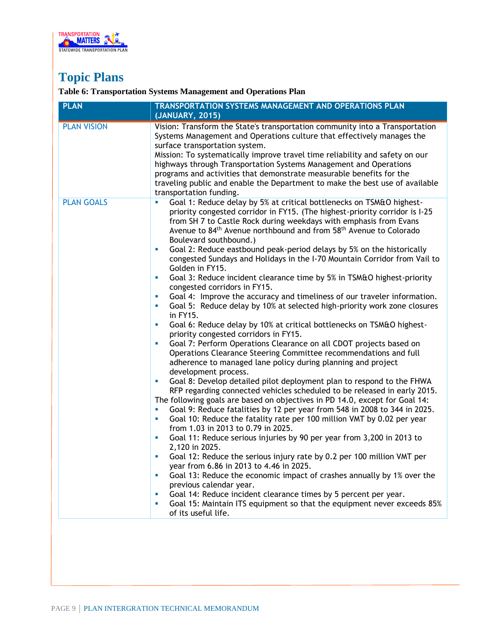

### **Topic Plans**

### **Table 6: Transportation Systems Management and Operations Plan**

| <b>PLAN</b>        | TRANSPORTATION SYSTEMS MANAGEMENT AND OPERATIONS PLAN<br>(JANUARY, 2015)                                                                                                                                                                                                                                                                                                                                                                                                                                                                                                                                                                                                                                                                                                                                                                                                                                                                                                                                                                                                                                                                                                                                                                                                                                                                                                                                                                                                                                                                                                                                                                                                                                                                                                                                                                                                                                                                                                                                                                                                                                                                                                    |
|--------------------|-----------------------------------------------------------------------------------------------------------------------------------------------------------------------------------------------------------------------------------------------------------------------------------------------------------------------------------------------------------------------------------------------------------------------------------------------------------------------------------------------------------------------------------------------------------------------------------------------------------------------------------------------------------------------------------------------------------------------------------------------------------------------------------------------------------------------------------------------------------------------------------------------------------------------------------------------------------------------------------------------------------------------------------------------------------------------------------------------------------------------------------------------------------------------------------------------------------------------------------------------------------------------------------------------------------------------------------------------------------------------------------------------------------------------------------------------------------------------------------------------------------------------------------------------------------------------------------------------------------------------------------------------------------------------------------------------------------------------------------------------------------------------------------------------------------------------------------------------------------------------------------------------------------------------------------------------------------------------------------------------------------------------------------------------------------------------------------------------------------------------------------------------------------------------------|
| <b>PLAN VISION</b> | Vision: Transform the State's transportation community into a Transportation<br>Systems Management and Operations culture that effectively manages the<br>surface transportation system.<br>Mission: To systematically improve travel time reliability and safety on our<br>highways through Transportation Systems Management and Operations<br>programs and activities that demonstrate measurable benefits for the<br>traveling public and enable the Department to make the best use of available<br>transportation funding.                                                                                                                                                                                                                                                                                                                                                                                                                                                                                                                                                                                                                                                                                                                                                                                                                                                                                                                                                                                                                                                                                                                                                                                                                                                                                                                                                                                                                                                                                                                                                                                                                                            |
| <b>PLAN GOALS</b>  | Goal 1: Reduce delay by 5% at critical bottlenecks on TSM&O highest-<br>priority congested corridor in FY15. (The highest-priority corridor is I-25<br>from SH 7 to Castle Rock during weekdays with emphasis from Evans<br>Avenue to 84 <sup>th</sup> Avenue northbound and from 58 <sup>th</sup> Avenue to Colorado<br>Boulevard southbound.)<br>Goal 2: Reduce eastbound peak-period delays by 5% on the historically<br>×<br>congested Sundays and Holidays in the I-70 Mountain Corridor from Vail to<br>Golden in FY15.<br>Goal 3: Reduce incident clearance time by 5% in TSM&O highest-priority<br>ш<br>congested corridors in FY15.<br>Goal 4: Improve the accuracy and timeliness of our traveler information.<br>ш<br>Goal 5: Reduce delay by 10% at selected high-priority work zone closures<br>ш<br>in FY15.<br>Goal 6: Reduce delay by 10% at critical bottlenecks on TSM&O highest-<br>u,<br>priority congested corridors in FY15.<br>Goal 7: Perform Operations Clearance on all CDOT projects based on<br>u,<br>Operations Clearance Steering Committee recommendations and full<br>adherence to managed lane policy during planning and project<br>development process.<br>Goal 8: Develop detailed pilot deployment plan to respond to the FHWA<br>ш<br>RFP regarding connected vehicles scheduled to be released in early 2015.<br>The following goals are based on objectives in PD 14.0, except for Goal 14:<br>Goal 9: Reduce fatalities by 12 per year from 548 in 2008 to 344 in 2025.<br>$\blacksquare$<br>Goal 10: Reduce the fatality rate per 100 million VMT by 0.02 per year<br>ш<br>from 1.03 in 2013 to 0.79 in 2025.<br>Goal 11: Reduce serious injuries by 90 per year from 3,200 in 2013 to<br>ш<br>2,120 in 2025.<br>Goal 12: Reduce the serious injury rate by 0.2 per 100 million VMT per<br>ш<br>year from 6.86 in 2013 to 4.46 in 2025.<br>Goal 13: Reduce the economic impact of crashes annually by 1% over the<br>u,<br>previous calendar year.<br>Goal 14: Reduce incident clearance times by 5 percent per year.<br>ш<br>Goal 15: Maintain ITS equipment so that the equipment never exceeds 85%<br>ш<br>of its useful life. |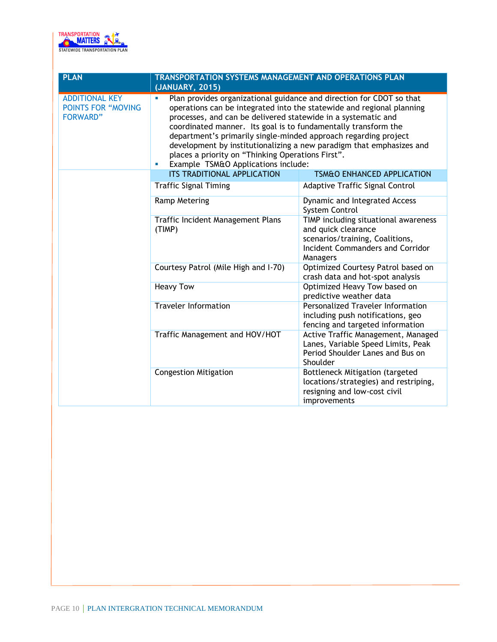

| <b>PLAN</b>                                                           | <b>TRANSPORTATION SYSTEMS MANAGEMENT AND OPERATIONS PLAN</b><br>(JANUARY, 2015)                                                                                                                                                                                                                                                                                                                                                                                                                                                    |                                                                                                                                                |
|-----------------------------------------------------------------------|------------------------------------------------------------------------------------------------------------------------------------------------------------------------------------------------------------------------------------------------------------------------------------------------------------------------------------------------------------------------------------------------------------------------------------------------------------------------------------------------------------------------------------|------------------------------------------------------------------------------------------------------------------------------------------------|
| <b>ADDITIONAL KEY</b><br><b>POINTS FOR "MOVING</b><br><b>FORWARD"</b> | Plan provides organizational guidance and direction for CDOT so that<br>u,<br>operations can be integrated into the statewide and regional planning<br>processes, and can be delivered statewide in a systematic and<br>coordinated manner. Its goal is to fundamentally transform the<br>department's primarily single-minded approach regarding project<br>development by institutionalizing a new paradigm that emphasizes and<br>places a priority on "Thinking Operations First".<br>Example TSM&O Applications include:<br>ш |                                                                                                                                                |
|                                                                       | <b>ITS TRADITIONAL APPLICATION</b>                                                                                                                                                                                                                                                                                                                                                                                                                                                                                                 | <b>TSM&amp;O ENHANCED APPLICATION</b>                                                                                                          |
|                                                                       | <b>Traffic Signal Timing</b>                                                                                                                                                                                                                                                                                                                                                                                                                                                                                                       | <b>Adaptive Traffic Signal Control</b>                                                                                                         |
|                                                                       | <b>Ramp Metering</b>                                                                                                                                                                                                                                                                                                                                                                                                                                                                                                               | Dynamic and Integrated Access<br>System Control                                                                                                |
|                                                                       | Traffic Incident Management Plans<br>(TIMP)                                                                                                                                                                                                                                                                                                                                                                                                                                                                                        | TIMP including situational awareness<br>and quick clearance<br>scenarios/training, Coalitions,<br>Incident Commanders and Corridor<br>Managers |
|                                                                       | Courtesy Patrol (Mile High and I-70)                                                                                                                                                                                                                                                                                                                                                                                                                                                                                               | Optimized Courtesy Patrol based on<br>crash data and hot-spot analysis                                                                         |
|                                                                       | <b>Heavy Tow</b>                                                                                                                                                                                                                                                                                                                                                                                                                                                                                                                   | Optimized Heavy Tow based on<br>predictive weather data                                                                                        |
|                                                                       | <b>Traveler Information</b>                                                                                                                                                                                                                                                                                                                                                                                                                                                                                                        | <b>Personalized Traveler Information</b><br>including push notifications, geo<br>fencing and targeted information                              |
|                                                                       | Traffic Management and HOV/HOT                                                                                                                                                                                                                                                                                                                                                                                                                                                                                                     | Active Traffic Management, Managed<br>Lanes, Variable Speed Limits, Peak<br>Period Shoulder Lanes and Bus on<br>Shoulder                       |
|                                                                       | <b>Congestion Mitigation</b>                                                                                                                                                                                                                                                                                                                                                                                                                                                                                                       | <b>Bottleneck Mitigation (targeted</b><br>locations/strategies) and restriping,<br>resigning and low-cost civil<br>improvements                |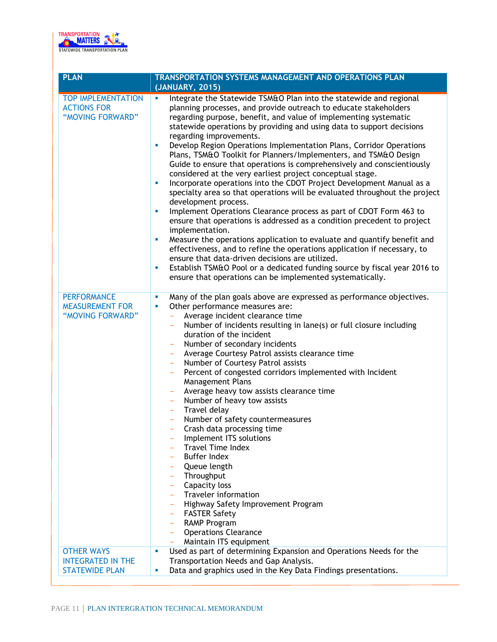

| <b>PLAN</b>                                                         | <b>TRANSPORTATION SYSTEMS MANAGEMENT AND OPERATIONS PLAN</b>                                                                                                                                                                                                                                                                                                                                                                                                                                                                                                                                                                                                                                                                                                                                                                                                                                                                                                                                                                                                                                                                                                                                                                                                                                                                     |  |  |
|---------------------------------------------------------------------|----------------------------------------------------------------------------------------------------------------------------------------------------------------------------------------------------------------------------------------------------------------------------------------------------------------------------------------------------------------------------------------------------------------------------------------------------------------------------------------------------------------------------------------------------------------------------------------------------------------------------------------------------------------------------------------------------------------------------------------------------------------------------------------------------------------------------------------------------------------------------------------------------------------------------------------------------------------------------------------------------------------------------------------------------------------------------------------------------------------------------------------------------------------------------------------------------------------------------------------------------------------------------------------------------------------------------------|--|--|
|                                                                     | (JANUARY, 2015)                                                                                                                                                                                                                                                                                                                                                                                                                                                                                                                                                                                                                                                                                                                                                                                                                                                                                                                                                                                                                                                                                                                                                                                                                                                                                                                  |  |  |
| <b>TOP IMPLEMENTATION</b><br><b>ACTIONS FOR</b><br>"MOVING FORWARD" | Integrate the Statewide TSM&O Plan into the statewide and regional<br>planning processes, and provide outreach to educate stakeholders<br>regarding purpose, benefit, and value of implementing systematic<br>statewide operations by providing and using data to support decisions<br>regarding improvements.<br>Develop Region Operations Implementation Plans, Corridor Operations<br>×.<br>Plans, TSM&O Toolkit for Planners/Implementers, and TSM&O Design<br>Guide to ensure that operations is comprehensively and conscientiously<br>considered at the very earliest project conceptual stage.<br>Incorporate operations into the CDOT Project Development Manual as a<br>ш<br>specialty area so that operations will be evaluated throughout the project<br>development process.<br>Implement Operations Clearance process as part of CDOT Form 463 to<br>×<br>ensure that operations is addressed as a condition precedent to project<br>implementation.<br>Measure the operations application to evaluate and quantify benefit and<br>ш<br>effectiveness, and to refine the operations application if necessary, to<br>ensure that data-driven decisions are utilized.<br>Establish TSM&O Pool or a dedicated funding source by fiscal year 2016 to<br>ш<br>ensure that operations can be implemented systematically. |  |  |
| <b>PERFORMANCE</b><br><b>MEASUREMENT FOR</b><br>"MOVING FORWARD"    | Many of the plan goals above are expressed as performance objectives.<br>ш<br>Other performance measures are:<br>ш<br>Average incident clearance time<br>$\equiv$<br>Number of incidents resulting in lane(s) or full closure including<br>duration of the incident<br>Number of secondary incidents<br>Average Courtesy Patrol assists clearance time<br>Number of Courtesy Patrol assists<br>$\equiv$<br>Percent of congested corridors implemented with Incident<br><b>Management Plans</b><br>Average heavy tow assists clearance time<br>Number of heavy tow assists<br>$\overline{\phantom{m}}$<br>Travel delay<br>$\equiv$<br>Number of safety countermeasures<br>$\equiv$<br>Crash data processing time<br>Implement ITS solutions<br><b>Travel Time Index</b><br><b>Buffer Index</b><br>Queue length<br>Throughput<br>Capacity loss<br>Traveler information<br>Highway Safety Improvement Program<br><b>FASTER Safety</b><br>RAMP Program<br>$\overline{\phantom{a}}$<br><b>Operations Clearance</b><br>$\equiv$<br>Maintain ITS equipment<br>$\overline{\phantom{a}}$                                                                                                                                                                                                                                                  |  |  |
| <b>OTHER WAYS</b>                                                   | Used as part of determining Expansion and Operations Needs for the<br>ш                                                                                                                                                                                                                                                                                                                                                                                                                                                                                                                                                                                                                                                                                                                                                                                                                                                                                                                                                                                                                                                                                                                                                                                                                                                          |  |  |
| <b>INTEGRATED IN THE</b><br><b>STATEWIDE PLAN</b>                   | Transportation Needs and Gap Analysis.<br>Data and graphics used in the Key Data Findings presentations.<br>ш                                                                                                                                                                                                                                                                                                                                                                                                                                                                                                                                                                                                                                                                                                                                                                                                                                                                                                                                                                                                                                                                                                                                                                                                                    |  |  |
|                                                                     |                                                                                                                                                                                                                                                                                                                                                                                                                                                                                                                                                                                                                                                                                                                                                                                                                                                                                                                                                                                                                                                                                                                                                                                                                                                                                                                                  |  |  |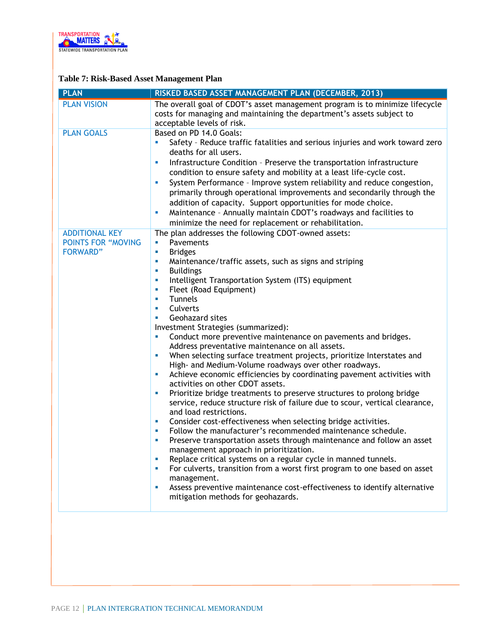

### **Table 7: Risk-Based Asset Management Plan**

| <b>PLAN</b>                                                           | RISKED BASED ASSET MANAGEMENT PLAN (DECEMBER, 2013)                                                                                                                                                                                                                                                                                                                                                                                                                                                                                                                                                                                                                                                                                                                                                                                                                                                                                                                                                                                                                                                                                                                                                                                                                                                                                                                                                                                                                                                                                        |
|-----------------------------------------------------------------------|--------------------------------------------------------------------------------------------------------------------------------------------------------------------------------------------------------------------------------------------------------------------------------------------------------------------------------------------------------------------------------------------------------------------------------------------------------------------------------------------------------------------------------------------------------------------------------------------------------------------------------------------------------------------------------------------------------------------------------------------------------------------------------------------------------------------------------------------------------------------------------------------------------------------------------------------------------------------------------------------------------------------------------------------------------------------------------------------------------------------------------------------------------------------------------------------------------------------------------------------------------------------------------------------------------------------------------------------------------------------------------------------------------------------------------------------------------------------------------------------------------------------------------------------|
| <b>PLAN VISION</b>                                                    | The overall goal of CDOT's asset management program is to minimize lifecycle<br>costs for managing and maintaining the department's assets subject to<br>acceptable levels of risk.                                                                                                                                                                                                                                                                                                                                                                                                                                                                                                                                                                                                                                                                                                                                                                                                                                                                                                                                                                                                                                                                                                                                                                                                                                                                                                                                                        |
| <b>PLAN GOALS</b>                                                     | Based on PD 14.0 Goals:<br>Safety - Reduce traffic fatalities and serious injuries and work toward zero<br>a,<br>deaths for all users.<br>Infrastructure Condition - Preserve the transportation infrastructure<br>×,<br>condition to ensure safety and mobility at a least life-cycle cost.<br>System Performance - Improve system reliability and reduce congestion,<br>×,<br>primarily through operational improvements and secondarily through the<br>addition of capacity. Support opportunities for mode choice.<br>Maintenance - Annually maintain CDOT's roadways and facilities to<br>×,<br>minimize the need for replacement or rehabilitation.                                                                                                                                                                                                                                                                                                                                                                                                                                                                                                                                                                                                                                                                                                                                                                                                                                                                                  |
| <b>ADDITIONAL KEY</b><br><b>POINTS FOR "MOVING</b><br><b>FORWARD"</b> | The plan addresses the following CDOT-owned assets:<br>Pavements<br>u,<br><b>Bridges</b><br>×,<br>Maintenance/traffic assets, such as signs and striping<br>×,<br><b>Buildings</b><br>L.<br>Intelligent Transportation System (ITS) equipment<br>u,<br>Fleet (Road Equipment)<br>×<br><b>Tunnels</b><br>×<br>Culverts<br>×<br>Geohazard sites<br>×<br>Investment Strategies (summarized):<br>Conduct more preventive maintenance on pavements and bridges.<br>u,<br>Address preventative maintenance on all assets.<br>When selecting surface treatment projects, prioritize Interstates and<br>L.<br>High- and Medium-Volume roadways over other roadways.<br>Achieve economic efficiencies by coordinating pavement activities with<br>×,<br>activities on other CDOT assets.<br>Prioritize bridge treatments to preserve structures to prolong bridge<br>U,<br>service, reduce structure risk of failure due to scour, vertical clearance,<br>and load restrictions.<br>Consider cost-effectiveness when selecting bridge activities.<br>ш<br>Follow the manufacturer's recommended maintenance schedule.<br>×<br>Preserve transportation assets through maintenance and follow an asset<br>ш<br>management approach in prioritization.<br>Replace critical systems on a regular cycle in manned tunnels.<br>×<br>For culverts, transition from a worst first program to one based on asset<br>ш<br>management.<br>Assess preventive maintenance cost-effectiveness to identify alternative<br>×,<br>mitigation methods for geohazards. |
|                                                                       |                                                                                                                                                                                                                                                                                                                                                                                                                                                                                                                                                                                                                                                                                                                                                                                                                                                                                                                                                                                                                                                                                                                                                                                                                                                                                                                                                                                                                                                                                                                                            |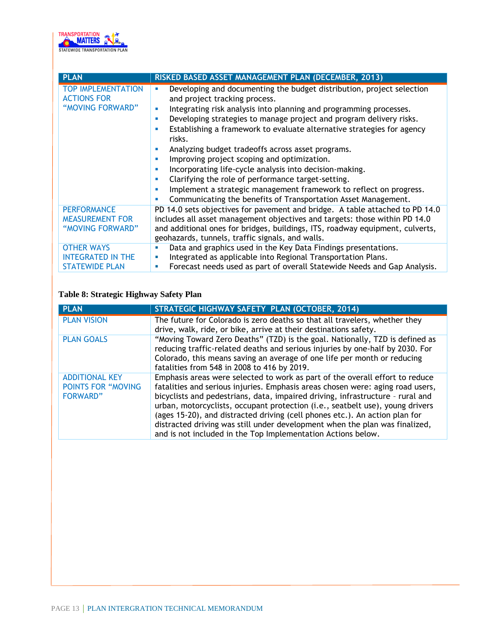

| <b>PLAN</b>                                                            | RISKED BASED ASSET MANAGEMENT PLAN (DECEMBER, 2013)                                                                                                                                                                                                                                                                                                                                                                                                                                                                                                                                                                                                                                                                            |
|------------------------------------------------------------------------|--------------------------------------------------------------------------------------------------------------------------------------------------------------------------------------------------------------------------------------------------------------------------------------------------------------------------------------------------------------------------------------------------------------------------------------------------------------------------------------------------------------------------------------------------------------------------------------------------------------------------------------------------------------------------------------------------------------------------------|
| <b>TOP IMPLEMENTATION</b><br><b>ACTIONS FOR</b><br>"MOVING FORWARD"    | Developing and documenting the budget distribution, project selection<br>ш<br>and project tracking process.<br>Integrating risk analysis into planning and programming processes.<br>ш<br>Developing strategies to manage project and program delivery risks.<br>٠<br>Establishing a framework to evaluate alternative strategies for agency<br>risks.<br>Analyzing budget tradeoffs across asset programs.<br>×,<br>Improving project scoping and optimization.<br>ш<br>Incorporating life-cycle analysis into decision-making.<br>Clarifying the role of performance target-setting.<br>Implement a strategic management framework to reflect on progress.<br>Communicating the benefits of Transportation Asset Management. |
| <b>PERFORMANCE</b><br><b>MEASUREMENT FOR</b><br>"MOVING FORWARD"       | PD 14.0 sets objectives for pavement and bridge. A table attached to PD 14.0<br>includes all asset management objectives and targets: those within PD 14.0<br>and additional ones for bridges, buildings, ITS, roadway equipment, culverts,<br>geohazards, tunnels, traffic signals, and walls.                                                                                                                                                                                                                                                                                                                                                                                                                                |
| <b>OTHER WAYS</b><br><b>INTEGRATED IN THE</b><br><b>STATEWIDE PLAN</b> | Data and graphics used in the Key Data Findings presentations.<br>Integrated as applicable into Regional Transportation Plans.<br>ш<br>Forecast needs used as part of overall Statewide Needs and Gap Analysis.<br>ш                                                                                                                                                                                                                                                                                                                                                                                                                                                                                                           |

### **Table 8: Strategic Highway Safety Plan**

| <b>PLAN</b>                                                            | STRATEGIC HIGHWAY SAFETY PLAN (OCTOBER, 2014)                                                                                                                                                                                                                                                                                                                                                                                                                                                                                                                   |
|------------------------------------------------------------------------|-----------------------------------------------------------------------------------------------------------------------------------------------------------------------------------------------------------------------------------------------------------------------------------------------------------------------------------------------------------------------------------------------------------------------------------------------------------------------------------------------------------------------------------------------------------------|
| <b>PLAN VISION</b>                                                     | The future for Colorado is zero deaths so that all travelers, whether they<br>drive, walk, ride, or bike, arrive at their destinations safety.                                                                                                                                                                                                                                                                                                                                                                                                                  |
| <b>PLAN GOALS</b>                                                      | "Moving Toward Zero Deaths" (TZD) is the goal. Nationally, TZD is defined as<br>reducing traffic-related deaths and serious injuries by one-half by 2030. For<br>Colorado, this means saving an average of one life per month or reducing<br>fatalities from 548 in 2008 to 416 by 2019.                                                                                                                                                                                                                                                                        |
| <b>ADDITIONAL KEY</b><br><b>POINTS FOR "MOVING"</b><br><b>FORWARD"</b> | Emphasis areas were selected to work as part of the overall effort to reduce<br>fatalities and serious injuries. Emphasis areas chosen were: aging road users,<br>bicyclists and pedestrians, data, impaired driving, infrastructure - rural and<br>urban, motorcyclists, occupant protection (i.e., seatbelt use), young drivers<br>(ages 15-20), and distracted driving (cell phones etc.). An action plan for<br>distracted driving was still under development when the plan was finalized,<br>and is not included in the Top Implementation Actions below. |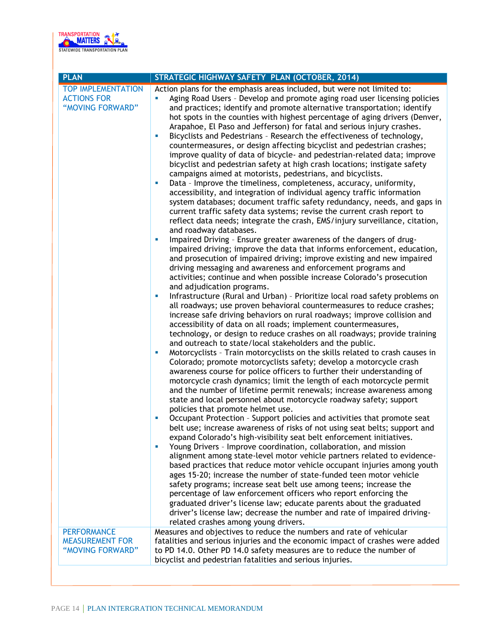

| <b>PLAN</b>                                                         | STRATEGIC HIGHWAY SAFETY PLAN (OCTOBER, 2014)                                                                                                                                                                                                                                                                                                                                                                                                                                                                                                                                                                                                                                                                                                                                                                                                                                                                                                                                                                                                                                                                                                                                                                                                                                                                                                                                                                                                                                                                                                                                                                                                                                                                                                                                                                                                                                                                                                                                                                                                                                                                                                                                                                                                                                                                                                                                                                                                                                                                                                                                                                                                                                                                                                                                                                                                                                                                                                                                                                                                                                                                                                                                                                                                                                                                                                                                                                    |
|---------------------------------------------------------------------|------------------------------------------------------------------------------------------------------------------------------------------------------------------------------------------------------------------------------------------------------------------------------------------------------------------------------------------------------------------------------------------------------------------------------------------------------------------------------------------------------------------------------------------------------------------------------------------------------------------------------------------------------------------------------------------------------------------------------------------------------------------------------------------------------------------------------------------------------------------------------------------------------------------------------------------------------------------------------------------------------------------------------------------------------------------------------------------------------------------------------------------------------------------------------------------------------------------------------------------------------------------------------------------------------------------------------------------------------------------------------------------------------------------------------------------------------------------------------------------------------------------------------------------------------------------------------------------------------------------------------------------------------------------------------------------------------------------------------------------------------------------------------------------------------------------------------------------------------------------------------------------------------------------------------------------------------------------------------------------------------------------------------------------------------------------------------------------------------------------------------------------------------------------------------------------------------------------------------------------------------------------------------------------------------------------------------------------------------------------------------------------------------------------------------------------------------------------------------------------------------------------------------------------------------------------------------------------------------------------------------------------------------------------------------------------------------------------------------------------------------------------------------------------------------------------------------------------------------------------------------------------------------------------------------------------------------------------------------------------------------------------------------------------------------------------------------------------------------------------------------------------------------------------------------------------------------------------------------------------------------------------------------------------------------------------------------------------------------------------------------------------------------------------|
| <b>TOP IMPLEMENTATION</b><br><b>ACTIONS FOR</b><br>"MOVING FORWARD" | Action plans for the emphasis areas included, but were not limited to:<br>Aging Road Users - Develop and promote aging road user licensing policies<br>u,<br>and practices; identify and promote alternative transportation; identify<br>hot spots in the counties with highest percentage of aging drivers (Denver,<br>Arapahoe, El Paso and Jefferson) for fatal and serious injury crashes.<br>Bicyclists and Pedestrians - Research the effectiveness of technology,<br>u,<br>countermeasures, or design affecting bicyclist and pedestrian crashes;<br>improve quality of data of bicycle- and pedestrian-related data; improve<br>bicyclist and pedestrian safety at high crash locations; instigate safety<br>campaigns aimed at motorists, pedestrians, and bicyclists.<br>Data - Improve the timeliness, completeness, accuracy, uniformity,<br>×<br>accessibility, and integration of individual agency traffic information<br>system databases; document traffic safety redundancy, needs, and gaps in<br>current traffic safety data systems; revise the current crash report to<br>reflect data needs; integrate the crash, EMS/injury surveillance, citation,<br>and roadway databases.<br>Impaired Driving - Ensure greater awareness of the dangers of drug-<br><b>C</b><br>impaired driving; improve the data that informs enforcement, education,<br>and prosecution of impaired driving; improve existing and new impaired<br>driving messaging and awareness and enforcement programs and<br>activities; continue and when possible increase Colorado's prosecution<br>and adjudication programs.<br>Infrastructure (Rural and Urban) - Prioritize local road safety problems on<br>ш<br>all roadways; use proven behavioral countermeasures to reduce crashes;<br>increase safe driving behaviors on rural roadways; improve collision and<br>accessibility of data on all roads; implement countermeasures,<br>technology, or design to reduce crashes on all roadways; provide training<br>and outreach to state/local stakeholders and the public.<br>Motorcyclists - Train motorcyclists on the skills related to crash causes in<br>ш<br>Colorado; promote motorcyclists safety; develop a motorcycle crash<br>awareness course for police officers to further their understanding of<br>motorcycle crash dynamics; limit the length of each motorcycle permit<br>and the number of lifetime permit renewals; increase awareness among<br>state and local personnel about motorcycle roadway safety; support<br>policies that promote helmet use.<br>Occupant Protection - Support policies and activities that promote seat<br>ш<br>belt use; increase awareness of risks of not using seat belts; support and<br>expand Colorado's high-visibility seat belt enforcement initiatives.<br>Young Drivers - Improve coordination, collaboration, and mission<br>×<br>alignment among state-level motor vehicle partners related to evidence-<br>based practices that reduce motor vehicle occupant injuries among youth<br>ages 15-20; increase the number of state-funded teen motor vehicle<br>safety programs; increase seat belt use among teens; increase the<br>percentage of law enforcement officers who report enforcing the<br>graduated driver's license law; educate parents about the graduated<br>driver's license law; decrease the number and rate of impaired driving- |
|                                                                     | related crashes among young drivers.                                                                                                                                                                                                                                                                                                                                                                                                                                                                                                                                                                                                                                                                                                                                                                                                                                                                                                                                                                                                                                                                                                                                                                                                                                                                                                                                                                                                                                                                                                                                                                                                                                                                                                                                                                                                                                                                                                                                                                                                                                                                                                                                                                                                                                                                                                                                                                                                                                                                                                                                                                                                                                                                                                                                                                                                                                                                                                                                                                                                                                                                                                                                                                                                                                                                                                                                                                             |
| <b>PERFORMANCE</b><br><b>MEASUREMENT FOR</b><br>"MOVING FORWARD"    | Measures and objectives to reduce the numbers and rate of vehicular<br>fatalities and serious injuries and the economic impact of crashes were added<br>to PD 14.0. Other PD 14.0 safety measures are to reduce the number of<br>bicyclist and pedestrian fatalities and serious injuries.                                                                                                                                                                                                                                                                                                                                                                                                                                                                                                                                                                                                                                                                                                                                                                                                                                                                                                                                                                                                                                                                                                                                                                                                                                                                                                                                                                                                                                                                                                                                                                                                                                                                                                                                                                                                                                                                                                                                                                                                                                                                                                                                                                                                                                                                                                                                                                                                                                                                                                                                                                                                                                                                                                                                                                                                                                                                                                                                                                                                                                                                                                                       |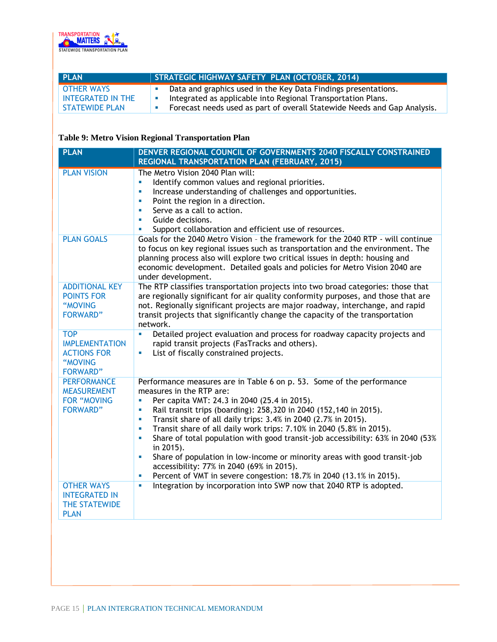

| I PLAN                | STRATEGIC HIGHWAY SAFETY PLAN (OCTOBER, 2014)                            |
|-----------------------|--------------------------------------------------------------------------|
| <b>OTHER WAYS</b>     | Data and graphics used in the Key Data Findings presentations.           |
| INTEGRATED IN THE     | Integrated as applicable into Regional Transportation Plans.<br>a mar    |
| <b>STATEWIDE PLAN</b> | Forecast needs used as part of overall Statewide Needs and Gap Analysis. |

### **Table 9: Metro Vision Regional Transportation Plan**

| <b>PLAN</b>                                                                             | DENVER REGIONAL COUNCIL OF GOVERNMENTS 2040 FISCALLY CONSTRAINED<br>REGIONAL TRANSPORTATION PLAN (FEBRUARY, 2015)                                                                                                                                                                                                                                                                                                                                                                                                                                                                                                                                                                                                                               |
|-----------------------------------------------------------------------------------------|-------------------------------------------------------------------------------------------------------------------------------------------------------------------------------------------------------------------------------------------------------------------------------------------------------------------------------------------------------------------------------------------------------------------------------------------------------------------------------------------------------------------------------------------------------------------------------------------------------------------------------------------------------------------------------------------------------------------------------------------------|
| <b>PLAN VISION</b>                                                                      | The Metro Vision 2040 Plan will:<br>Identify common values and regional priorities.<br>u,<br>Increase understanding of challenges and opportunities.<br>a,<br>Point the region in a direction.<br>ш<br>Serve as a call to action.<br>u.<br>Guide decisions.<br>$\blacksquare$<br>Support collaboration and efficient use of resources.<br>u,                                                                                                                                                                                                                                                                                                                                                                                                    |
| <b>PLAN GOALS</b>                                                                       | Goals for the 2040 Metro Vision - the framework for the 2040 RTP - will continue<br>to focus on key regional issues such as transportation and the environment. The<br>planning process also will explore two critical issues in depth: housing and<br>economic development. Detailed goals and policies for Metro Vision 2040 are<br>under development.                                                                                                                                                                                                                                                                                                                                                                                        |
| <b>ADDITIONAL KEY</b><br><b>POINTS FOR</b><br>"MOVING<br><b>FORWARD"</b>                | The RTP classifies transportation projects into two broad categories: those that<br>are regionally significant for air quality conformity purposes, and those that are<br>not. Regionally significant projects are major roadway, interchange, and rapid<br>transit projects that significantly change the capacity of the transportation<br>network.                                                                                                                                                                                                                                                                                                                                                                                           |
| <b>TOP</b><br><b>IMPLEMENTATION</b><br><b>ACTIONS FOR</b><br>"MOVING<br><b>FORWARD"</b> | Detailed project evaluation and process for roadway capacity projects and<br>$\blacksquare$<br>rapid transit projects (FasTracks and others).<br>List of fiscally constrained projects.<br>a,                                                                                                                                                                                                                                                                                                                                                                                                                                                                                                                                                   |
| <b>PERFORMANCE</b><br><b>MEASUREMENT</b><br><b>FOR "MOVING</b><br><b>FORWARD"</b>       | Performance measures are in Table 6 on p. 53. Some of the performance<br>measures in the RTP are:<br>Per capita VMT: 24.3 in 2040 (25.4 in 2015).<br>a,<br>Rail transit trips (boarding): 258,320 in 2040 (152,140 in 2015).<br>a,<br>Transit share of all daily trips: 3.4% in 2040 (2.7% in 2015).<br>$\blacksquare$<br>Transit share of all daily work trips: 7.10% in 2040 (5.8% in 2015).<br>ш<br>Share of total population with good transit-job accessibility: 63% in 2040 (53%<br>a,<br>in 2015).<br>Share of population in low-income or minority areas with good transit-job<br>a.<br>accessibility: 77% in 2040 (69% in 2015).<br>Percent of VMT in severe congestion: 18.7% in 2040 (13.1% in 2015).<br>$\mathcal{L}_{\mathcal{A}}$ |
| <b>OTHER WAYS</b><br><b>INTEGRATED IN</b><br><b>THE STATEWIDE</b><br><b>PLAN</b>        | Integration by incorporation into SWP now that 2040 RTP is adopted.<br>a,                                                                                                                                                                                                                                                                                                                                                                                                                                                                                                                                                                                                                                                                       |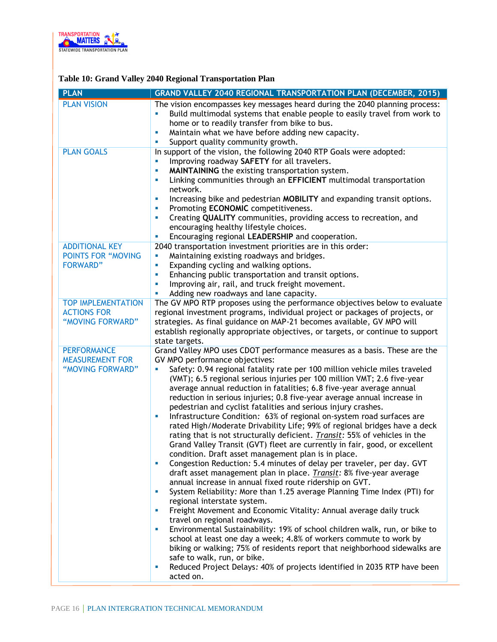

### **Table 10: Grand Valley 2040 Regional Transportation Plan**

| <b>PLAN</b>                                                           | <b>GRAND VALLEY 2040 REGIONAL TRANSPORTATION PLAN (DECEMBER, 2015)</b>                                                                                                                                                                                                                                                                                                                                                                                                                                                                                                                                                                                                                                                                                                                                                                                                                                                                                                                                                                                                                                                                                                                                                                                                                                                                                                                                                                                                                                                                                                                                                                                                                              |
|-----------------------------------------------------------------------|-----------------------------------------------------------------------------------------------------------------------------------------------------------------------------------------------------------------------------------------------------------------------------------------------------------------------------------------------------------------------------------------------------------------------------------------------------------------------------------------------------------------------------------------------------------------------------------------------------------------------------------------------------------------------------------------------------------------------------------------------------------------------------------------------------------------------------------------------------------------------------------------------------------------------------------------------------------------------------------------------------------------------------------------------------------------------------------------------------------------------------------------------------------------------------------------------------------------------------------------------------------------------------------------------------------------------------------------------------------------------------------------------------------------------------------------------------------------------------------------------------------------------------------------------------------------------------------------------------------------------------------------------------------------------------------------------------|
| <b>PLAN VISION</b>                                                    | The vision encompasses key messages heard during the 2040 planning process:<br>Build multimodal systems that enable people to easily travel from work to<br>u,<br>home or to readily transfer from bike to bus.<br>Maintain what we have before adding new capacity.<br>ш<br>Support quality community growth.<br>ш                                                                                                                                                                                                                                                                                                                                                                                                                                                                                                                                                                                                                                                                                                                                                                                                                                                                                                                                                                                                                                                                                                                                                                                                                                                                                                                                                                                 |
| <b>PLAN GOALS</b>                                                     | In support of the vision, the following 2040 RTP Goals were adopted:<br>Improving roadway SAFETY for all travelers.<br><b>I</b><br>MAINTAINING the existing transportation system.<br>×<br>Linking communities through an EFFICIENT multimodal transportation<br>ш<br>network.<br>Increasing bike and pedestrian MOBILITY and expanding transit options.<br>×<br>Promoting ECONOMIC competitiveness.<br>×<br>Creating QUALITY communities, providing access to recreation, and<br>ш<br>encouraging healthy lifestyle choices.<br>Encouraging regional LEADERSHIP and cooperation.<br>U,                                                                                                                                                                                                                                                                                                                                                                                                                                                                                                                                                                                                                                                                                                                                                                                                                                                                                                                                                                                                                                                                                                             |
| <b>ADDITIONAL KEY</b><br><b>POINTS FOR "MOVING</b><br><b>FORWARD"</b> | 2040 transportation investment priorities are in this order:<br>Maintaining existing roadways and bridges.<br>ш<br>Expanding cycling and walking options.<br>u,<br>Enhancing public transportation and transit options.<br>u,<br>Improving air, rail, and truck freight movement.<br>ш<br>Adding new roadways and lane capacity.<br>ш                                                                                                                                                                                                                                                                                                                                                                                                                                                                                                                                                                                                                                                                                                                                                                                                                                                                                                                                                                                                                                                                                                                                                                                                                                                                                                                                                               |
| <b>TOP IMPLEMENTATION</b><br><b>ACTIONS FOR</b><br>"MOVING FORWARD"   | The GV MPO RTP proposes using the performance objectives below to evaluate<br>regional investment programs, individual project or packages of projects, or<br>strategies. As final guidance on MAP-21 becomes available, GV MPO will<br>establish regionally appropriate objectives, or targets, or continue to support<br>state targets.                                                                                                                                                                                                                                                                                                                                                                                                                                                                                                                                                                                                                                                                                                                                                                                                                                                                                                                                                                                                                                                                                                                                                                                                                                                                                                                                                           |
| <b>PERFORMANCE</b><br><b>MEASUREMENT FOR</b><br>"MOVING FORWARD"      | Grand Valley MPO uses CDOT performance measures as a basis. These are the<br>GV MPO performance objectives:<br>Safety: 0.94 regional fatality rate per 100 million vehicle miles traveled<br>u,<br>(VMT); 6.5 regional serious injuries per 100 million VMT; 2.6 five-year<br>average annual reduction in fatalities; 6.8 five-year average annual<br>reduction in serious injuries; 0.8 five-year average annual increase in<br>pedestrian and cyclist fatalities and serious injury crashes.<br>Infrastructure Condition: 63% of regional on-system road surfaces are<br>ш<br>rated High/Moderate Drivability Life; 99% of regional bridges have a deck<br>rating that is not structurally deficient. Transit: 55% of vehicles in the<br>Grand Valley Transit (GVT) fleet are currently in fair, good, or excellent<br>condition. Draft asset management plan is in place.<br>Congestion Reduction: 5.4 minutes of delay per traveler, per day. GVT<br><b>I</b><br>draft asset management plan in place. Transit: 8% five-year average<br>annual increase in annual fixed route ridership on GVT.<br>System Reliability: More than 1.25 average Planning Time Index (PTI) for<br>ш<br>regional interstate system.<br>Freight Movement and Economic Vitality: Annual average daily truck<br>ш<br>travel on regional roadways.<br>Environmental Sustainability: 19% of school children walk, run, or bike to<br>ш<br>school at least one day a week; 4.8% of workers commute to work by<br>biking or walking; 75% of residents report that neighborhood sidewalks are<br>safe to walk, run, or bike.<br>Reduced Project Delays: 40% of projects identified in 2035 RTP have been<br>u,<br>acted on. |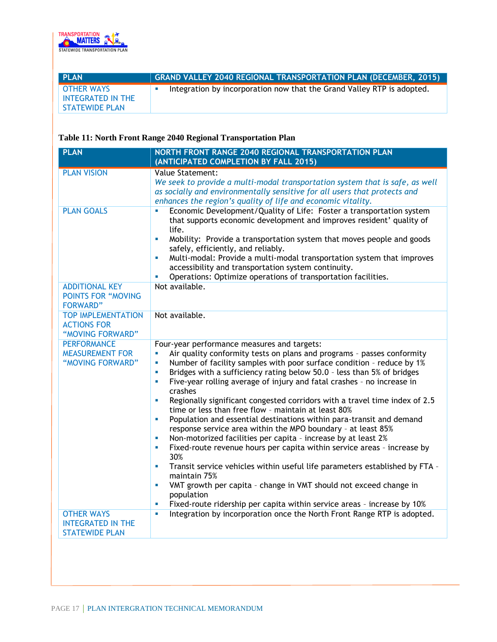

| <b>PLAN</b>                            | $\mid$ GRAND VALLEY 2040 REGIONAL TRANSPORTATION PLAN (DECEMBER, 2015) $\mid$ |
|----------------------------------------|-------------------------------------------------------------------------------|
| <b>OTHER WAYS</b><br>INTEGRATED IN THE | Integration by incorporation now that the Grand Valley RTP is adopted.        |
| <b>STATEWIDE PLAN</b>                  |                                                                               |

### **Table 11: North Front Range 2040 Regional Transportation Plan**

| <b>PLAN</b>                                                            | NORTH FRONT RANGE 2040 REGIONAL TRANSPORTATION PLAN<br>(ANTICIPATED COMPLETION BY FALL 2015)                                                                                                                                                                                                                                                                                                                                                                                                                                                                                                                                                                                                                                                                                                                                                                                                                                                                                                                                                                                                                                                   |
|------------------------------------------------------------------------|------------------------------------------------------------------------------------------------------------------------------------------------------------------------------------------------------------------------------------------------------------------------------------------------------------------------------------------------------------------------------------------------------------------------------------------------------------------------------------------------------------------------------------------------------------------------------------------------------------------------------------------------------------------------------------------------------------------------------------------------------------------------------------------------------------------------------------------------------------------------------------------------------------------------------------------------------------------------------------------------------------------------------------------------------------------------------------------------------------------------------------------------|
| <b>PLAN VISION</b>                                                     | Value Statement:<br>We seek to provide a multi-modal transportation system that is safe, as well<br>as socially and environmentally sensitive for all users that protects and<br>enhances the region's quality of life and economic vitality.                                                                                                                                                                                                                                                                                                                                                                                                                                                                                                                                                                                                                                                                                                                                                                                                                                                                                                  |
| <b>PLAN GOALS</b>                                                      | Economic Development/Quality of Life: Foster a transportation system<br>a,<br>that supports economic development and improves resident' quality of<br>life.<br>Mobility: Provide a transportation system that moves people and goods<br>$\blacksquare$<br>safely, efficiently, and reliably.<br>Multi-modal: Provide a multi-modal transportation system that improves<br>Ű.<br>accessibility and transportation system continuity.<br>Operations: Optimize operations of transportation facilities.<br>ш                                                                                                                                                                                                                                                                                                                                                                                                                                                                                                                                                                                                                                      |
| <b>ADDITIONAL KEY</b><br><b>POINTS FOR "MOVING</b><br><b>FORWARD"</b>  | Not available.                                                                                                                                                                                                                                                                                                                                                                                                                                                                                                                                                                                                                                                                                                                                                                                                                                                                                                                                                                                                                                                                                                                                 |
| <b>TOP IMPLEMENTATION</b><br><b>ACTIONS FOR</b><br>"MOVING FORWARD"    | Not available.                                                                                                                                                                                                                                                                                                                                                                                                                                                                                                                                                                                                                                                                                                                                                                                                                                                                                                                                                                                                                                                                                                                                 |
| <b>PERFORMANCE</b><br><b>MEASUREMENT FOR</b><br>"MOVING FORWARD"       | Four-year performance measures and targets:<br>Air quality conformity tests on plans and programs - passes conformity<br>a,<br>Number of facility samples with poor surface condition - reduce by 1%<br>u,<br>Bridges with a sufficiency rating below 50.0 - less than 5% of bridges<br>$\blacksquare$<br>Five-year rolling average of injury and fatal crashes - no increase in<br>a,<br>crashes<br>Regionally significant congested corridors with a travel time index of 2.5<br>ш<br>time or less than free flow - maintain at least 80%<br>Population and essential destinations within para-transit and demand<br>a,<br>response service area within the MPO boundary - at least 85%<br>Non-motorized facilities per capita - increase by at least 2%<br>u,<br>Fixed-route revenue hours per capita within service areas - increase by<br>ш<br>30%<br>Transit service vehicles within useful life parameters established by FTA -<br>$\mathbf{u}$<br>maintain 75%<br>VMT growth per capita - change in VMT should not exceed change in<br>ш<br>population<br>Fixed-route ridership per capita within service areas - increase by 10%<br>ш |
| <b>OTHER WAYS</b><br><b>INTEGRATED IN THE</b><br><b>STATEWIDE PLAN</b> | Integration by incorporation once the North Front Range RTP is adopted.<br>a,                                                                                                                                                                                                                                                                                                                                                                                                                                                                                                                                                                                                                                                                                                                                                                                                                                                                                                                                                                                                                                                                  |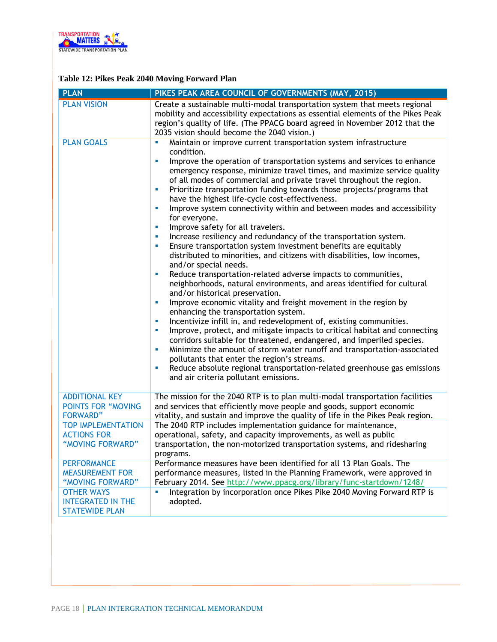

### **Table 12: Pikes Peak 2040 Moving Forward Plan**

| <b>PLAN</b>                                                                                                                                  | PIKES PEAK AREA COUNCIL OF GOVERNMENTS (MAY, 2015)                                                                                                                                                                                                                                                                                                                                                                                                                                                                                                                                                                                                                                                                                                                                                                                                                                                                                                                                                                                                                                                                                                                                                                                                                                                                                                                                                                                                                                                                                                                                                                                                                      |
|----------------------------------------------------------------------------------------------------------------------------------------------|-------------------------------------------------------------------------------------------------------------------------------------------------------------------------------------------------------------------------------------------------------------------------------------------------------------------------------------------------------------------------------------------------------------------------------------------------------------------------------------------------------------------------------------------------------------------------------------------------------------------------------------------------------------------------------------------------------------------------------------------------------------------------------------------------------------------------------------------------------------------------------------------------------------------------------------------------------------------------------------------------------------------------------------------------------------------------------------------------------------------------------------------------------------------------------------------------------------------------------------------------------------------------------------------------------------------------------------------------------------------------------------------------------------------------------------------------------------------------------------------------------------------------------------------------------------------------------------------------------------------------------------------------------------------------|
| <b>PLAN VISION</b>                                                                                                                           | Create a sustainable multi-modal transportation system that meets regional<br>mobility and accessibility expectations as essential elements of the Pikes Peak<br>region's quality of life. (The PPACG board agreed in November 2012 that the<br>2035 vision should become the 2040 vision.)                                                                                                                                                                                                                                                                                                                                                                                                                                                                                                                                                                                                                                                                                                                                                                                                                                                                                                                                                                                                                                                                                                                                                                                                                                                                                                                                                                             |
| <b>PLAN GOALS</b>                                                                                                                            | Maintain or improve current transportation system infrastructure<br>$\blacksquare$<br>condition.<br>Improve the operation of transportation systems and services to enhance<br>L.<br>emergency response, minimize travel times, and maximize service quality<br>of all modes of commercial and private travel throughout the region.<br>Prioritize transportation funding towards those projects/programs that<br>U,<br>have the highest life-cycle cost-effectiveness.<br>Improve system connectivity within and between modes and accessibility<br>ш<br>for everyone.<br>Improve safety for all travelers.<br>ш<br>Increase resiliency and redundancy of the transportation system.<br>×<br>Ensure transportation system investment benefits are equitably<br>ш<br>distributed to minorities, and citizens with disabilities, low incomes,<br>and/or special needs.<br>Reduce transportation-related adverse impacts to communities,<br>×<br>neighborhoods, natural environments, and areas identified for cultural<br>and/or historical preservation.<br>Improve economic vitality and freight movement in the region by<br>ш<br>enhancing the transportation system.<br>Incentivize infill in, and redevelopment of, existing communities.<br>ш<br>Improve, protect, and mitigate impacts to critical habitat and connecting<br>ш<br>corridors suitable for threatened, endangered, and imperiled species.<br>Minimize the amount of storm water runoff and transportation-associated<br>×<br>pollutants that enter the region's streams.<br>Reduce absolute regional transportation-related greenhouse gas emissions<br>ш<br>and air criteria pollutant emissions. |
| <b>ADDITIONAL KEY</b><br><b>POINTS FOR "MOVING</b><br><b>FORWARD"</b><br><b>TOP IMPLEMENTATION</b><br><b>ACTIONS FOR</b><br>"MOVING FORWARD" | The mission for the 2040 RTP is to plan multi-modal transportation facilities<br>and services that efficiently move people and goods, support economic<br>vitality, and sustain and improve the quality of life in the Pikes Peak region.<br>The 2040 RTP includes implementation guidance for maintenance,<br>operational, safety, and capacity improvements, as well as public<br>transportation, the non-motorized transportation systems, and ridesharing<br>programs.                                                                                                                                                                                                                                                                                                                                                                                                                                                                                                                                                                                                                                                                                                                                                                                                                                                                                                                                                                                                                                                                                                                                                                                              |
| <b>PERFORMANCE</b><br><b>MEASUREMENT FOR</b><br>"MOVING FORWARD"                                                                             | Performance measures have been identified for all 13 Plan Goals. The<br>performance measures, listed in the Planning Framework, were approved in<br>February 2014. See http://www.ppacg.org/library/func-startdown/1248/                                                                                                                                                                                                                                                                                                                                                                                                                                                                                                                                                                                                                                                                                                                                                                                                                                                                                                                                                                                                                                                                                                                                                                                                                                                                                                                                                                                                                                                |
| <b>OTHER WAYS</b><br><b>INTEGRATED IN THE</b><br><b>STATEWIDE PLAN</b>                                                                       | Integration by incorporation once Pikes Pike 2040 Moving Forward RTP is<br>u.<br>adopted.                                                                                                                                                                                                                                                                                                                                                                                                                                                                                                                                                                                                                                                                                                                                                                                                                                                                                                                                                                                                                                                                                                                                                                                                                                                                                                                                                                                                                                                                                                                                                                               |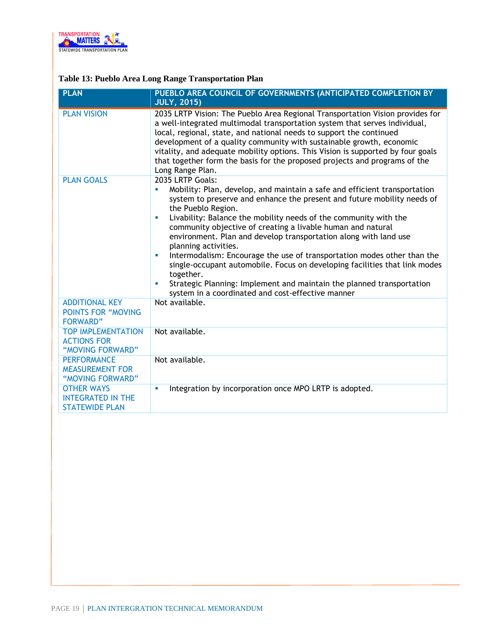

### **Table 13: Pueblo Area Long Range Transportation Plan**

| <b>PLAN</b>                                                            | PUEBLO AREA COUNCIL OF GOVERNMENTS (ANTICIPATED COMPLETION BY<br><b>JULY, 2015)</b>                                                                                                                                                                                                                                                                                                                                                                                                                                                                                                                                                                                                                                                    |
|------------------------------------------------------------------------|----------------------------------------------------------------------------------------------------------------------------------------------------------------------------------------------------------------------------------------------------------------------------------------------------------------------------------------------------------------------------------------------------------------------------------------------------------------------------------------------------------------------------------------------------------------------------------------------------------------------------------------------------------------------------------------------------------------------------------------|
| <b>PLAN VISION</b>                                                     | 2035 LRTP Vision: The Pueblo Area Regional Transportation Vision provides for<br>a well-integrated multimodal transportation system that serves individual,<br>local, regional, state, and national needs to support the continued<br>development of a quality community with sustainable growth, economic<br>vitality, and adequate mobility options. This Vision is supported by four goals<br>that together form the basis for the proposed projects and programs of the<br>Long Range Plan.                                                                                                                                                                                                                                        |
| <b>PLAN GOALS</b>                                                      | 2035 LRTP Goals:<br>Mobility: Plan, develop, and maintain a safe and efficient transportation<br>system to preserve and enhance the present and future mobility needs of<br>the Pueblo Region.<br>Livability: Balance the mobility needs of the community with the<br>community objective of creating a livable human and natural<br>environment. Plan and develop transportation along with land use<br>planning activities.<br>Intermodalism: Encourage the use of transportation modes other than the<br>×<br>single-occupant automobile. Focus on developing facilities that link modes<br>together.<br>Strategic Planning: Implement and maintain the planned transportation<br>system in a coordinated and cost-effective manner |
| <b>ADDITIONAL KEY</b><br><b>POINTS FOR "MOVING</b><br><b>FORWARD"</b>  | Not available.                                                                                                                                                                                                                                                                                                                                                                                                                                                                                                                                                                                                                                                                                                                         |
| <b>TOP IMPLEMENTATION</b><br><b>ACTIONS FOR</b><br>"MOVING FORWARD"    | Not available.                                                                                                                                                                                                                                                                                                                                                                                                                                                                                                                                                                                                                                                                                                                         |
| <b>PERFORMANCE</b><br><b>MEASUREMENT FOR</b><br>"MOVING FORWARD"       | Not available.                                                                                                                                                                                                                                                                                                                                                                                                                                                                                                                                                                                                                                                                                                                         |
| <b>OTHER WAYS</b><br><b>INTEGRATED IN THE</b><br><b>STATEWIDE PLAN</b> | Integration by incorporation once MPO LRTP is adopted.<br>×                                                                                                                                                                                                                                                                                                                                                                                                                                                                                                                                                                                                                                                                            |